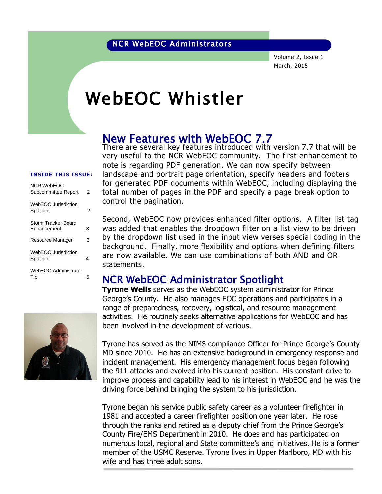Volume 2, Issue 1 March, 2015

# WebEOC Whistler

#### New Features with WebEOC 7.7

There are several key features introduced with version 7.7 that will be very useful to the NCR WebEOC community. The first enhancement to note is regarding PDF generation. We can now specify between landscape and portrait page orientation, specify headers and footers for generated PDF documents within WebEOC, including displaying the total number of pages in the PDF and specify a page break option to control the pagination.

Second, WebEOC now provides enhanced filter options. A filter list tag was added that enables the dropdown filter on a list view to be driven by the dropdown list used in the input view verses special coding in the background. Finally, more flexibility and options when defining filters are now available. We can use combinations of both AND and OR statements.

#### NCR WebEOC Administrator Spotlight

**Tyrone Wells** serves as the WebEOC system administrator for Prince George's County. He also manages EOC operations and participates in a range of preparedness, recovery, logistical, and resource management activities. He routinely seeks alternative applications for WebEOC and has been involved in the development of various.

Tyrone has served as the NIMS compliance Officer for Prince George's County MD since 2010. He has an extensive background in emergency response and incident management. His emergency management focus began following the 911 attacks and evolved into his current position. His constant drive to improve process and capability lead to his interest in WebEOC and he was the driving force behind bringing the system to his jurisdiction.

Tyrone began his service public safety career as a volunteer firefighter in 1981 and accepted a career firefighter position one year later. He rose through the ranks and retired as a deputy chief from the Prince George's County Fire/EMS Department in 2010. He does and has participated on numerous local, regional and State committee's and initiatives. He is a former member of the USMC Reserve. Tyrone lives in Upper Marlboro, MD with his wife and has three adult sons.

#### **INSIDE THIS ISSUE:**

| <b>NCR WebEOC</b><br>Subcommittee Report | 2 |
|------------------------------------------|---|
| WebEOC Jurisdiction<br>Spotlight         | 2 |
| Storm Tracker Board<br>Enhancement       | 3 |
| Resource Manager                         | 3 |
| WebEOC Jurisdiction<br>Spotlight         | 4 |
| WebEOC Administrator<br>Tip              | 5 |

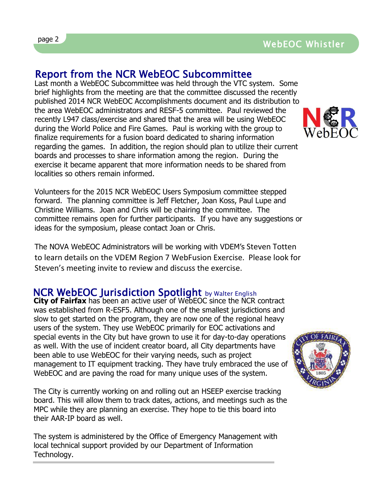## Report from the NCR WebEOC Subcommittee

Last month a WebEOC Subcommittee was held through the VTC system. Some East month a webbod subcommittee was new unbugh the vice system. Some<br>brief highlights from the meeting are that the committee discussed the recently published 2014 NCR WebEOC Accomplishments document and its distribution to the area WebEOC administrators and RESF-5 committee. Paul reviewed the recently L947 class/exercise and shared that the area will be using WebEOC during the World Police and Fire Games. Paul is working with the group to finalize requirements for a fusion board dedicated to sharing information regarding the games. In addition, the region should plan to utilize their current boards and processes to share information among the region. During the exercise it became apparent that more information needs to be shared from localities so others remain informed.

Volunteers for the 2015 NCR WebEOC Users Symposium committee stepped forward. The planning committee is Jeff Fletcher, Joan Koss, Paul Lupe and Christine Williams. Joan and Chris will be chairing the committee. The committee remains open for further participants. If you have any suggestions or ideas for the symposium, please contact Joan or Chris.

The NOVA WebEOC Administrators will be working with VDEM's Steven Totten to learn details on the VDEM Region 7 WebFusion Exercise. Please look for Steven's meeting invite to review and discuss the exercise.

## NCR WebEOC Jurisdiction Spotlight by Walter English

**City of Fairfax** has been an active user of WebEOC since the NCR contract was established from R-ESF5. Although one of the smallest jurisdictions and slow to get started on the program, they are now one of the regional heavy users of the system. They use WebEOC primarily for EOC activations and special events in the City but have grown to use it for day-to-day operations as well. With the use of incident creator board, all City departments have been able to use WebEOC for their varying needs, such as project management to IT equipment tracking. They have truly embraced the use of WebEOC and are paving the road for many unique uses of the system.

The City is currently working on and rolling out an HSEEP exercise tracking board. This will allow them to track dates, actions, and meetings such as the MPC while they are planning an exercise. They hope to tie this board into their AAR-IP board as well.

The system is administered by the Office of Emergency Management with local technical support provided by our Department of Information Technology.



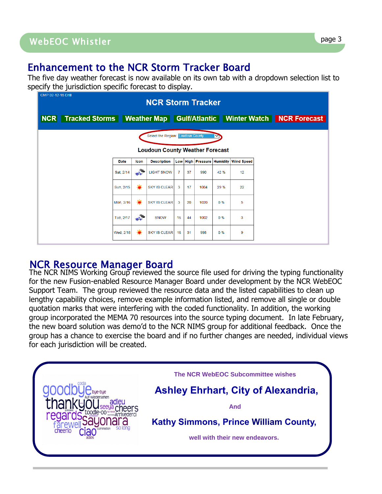### Enhancement to the NCR Storm Tracker Board

The five day weather forecast is now available on its own tab with a dropdown selection list to specify the jurisdiction specific forecast to display.

| CMP 02-12-15 Drill<br><b>NCR Storm Tracker</b>                                           |           |                 |                                        |              |    |      |      |                                       |  |  |  |  |
|------------------------------------------------------------------------------------------|-----------|-----------------|----------------------------------------|--------------|----|------|------|---------------------------------------|--|--|--|--|
| Tracked Storms   Weather Map   Gulf/Atlantic   Winter Watch   NCR Forecast<br><b>NCR</b> |           |                 |                                        |              |    |      |      |                                       |  |  |  |  |
| <b>Select the Region: Loudoun County</b>                                                 |           |                 |                                        |              |    |      |      |                                       |  |  |  |  |
|                                                                                          |           |                 | <b>Loudoun County Weather Forecast</b> |              |    |      |      |                                       |  |  |  |  |
|                                                                                          | Date      | Icon            | <b>Description</b>                     |              |    |      |      | Low High Pressure Humidity Wind Speed |  |  |  |  |
|                                                                                          | Sat, 2/14 | He <sup>2</sup> | <b>LIGHT SNOW</b>                      | $\mathbf{7}$ | 37 | 990  | 42 % | 12                                    |  |  |  |  |
|                                                                                          | Sun, 2/15 | 薹               | <b>SKY IS CLEAR</b>                    | 3            | 17 | 1004 | 29 % | 22                                    |  |  |  |  |
|                                                                                          | Mon, 2/16 | 豪               | <b>SKY IS CLEAR</b>                    | 3            | 20 | 1020 | 0%   | 5                                     |  |  |  |  |
|                                                                                          | Tue, 2/17 | $\frac{1}{2}$   | <b>SNOW</b>                            | 16           | 44 | 1002 | 0%   | 3                                     |  |  |  |  |
|                                                                                          | Wed, 2/18 | 豪               | <b>SKY IS CLEAR</b>                    | 16           | 31 | 998  | 0%   | 9                                     |  |  |  |  |

#### NCR Resource Manager Board

The NCR NIMS Working Group reviewed the source file used for driving the typing functionality for the new Fusion-enabled Resource Manager Board under development by the NCR WebEOC Support Team. The group reviewed the resource data and the listed capabilities to clean up lengthy capability choices, remove example information listed, and remove all single or double quotation marks that were interfering with the coded functionality. In addition, the working group incorporated the MEMA 70 resources into the source typing document. In late February, the new board solution was demo'd to the NCR NIMS group for additional feedback. Once the group has a chance to exercise the board and if no further changes are needed, individual views for each jurisdiction will be created.

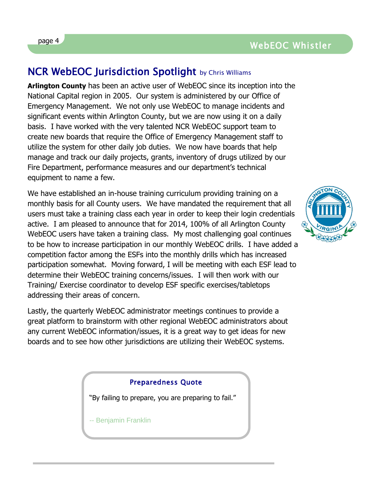#### page 4 and the contract of the contract of the contract of the contract of the contract of the contract of the contract of the contract of the contract of the contract of the contract of the contract of the contract of the WebEOC Whistler

#### **NCR WebEOC Jurisdiction Spotlight** by Chris Williams

**Arlington County** has been an active user of WebEOC since its inception into the National Capital region in 2005. Our system is administered by our Office of Emergency Management. We not only use WebEOC to manage incidents and significant events within Arlington County, but we are now using it on a daily basis. I have worked with the very talented NCR WebEOC support team to create new boards that require the Office of Emergency Management staff to utilize the system for other daily job duties. We now have boards that help manage and track our daily projects, grants, inventory of drugs utilized by our Fire Department, performance measures and our department's technical equipment to name a few.

We have established an in-house training curriculum providing training on a monthly basis for all County users. We have mandated the requirement that all users must take a training class each year in order to keep their login credentials active. I am pleased to announce that for 2014, 100% of all Arlington County WebEOC users have taken a training class. My most challenging goal continues to be how to increase participation in our monthly WebEOC drills. I have added a competition factor among the ESFs into the monthly drills which has increased participation somewhat. Moving forward, I will be meeting with each ESF lead to determine their WebEOC training concerns/issues. I will then work with our Training/ Exercise coordinator to develop ESF specific exercises/tabletops addressing their areas of concern.

Lastly, the quarterly WebEOC administrator meetings continues to provide a great platform to brainstorm with other regional WebEOC administrators about any current WebEOC information/issues, it is a great way to get ideas for new boards and to see how other jurisdictions are utilizing their WebEOC systems.

#### Preparedness Quote

"By failing to prepare, you are preparing to fail."

-- Benjamin Franklin

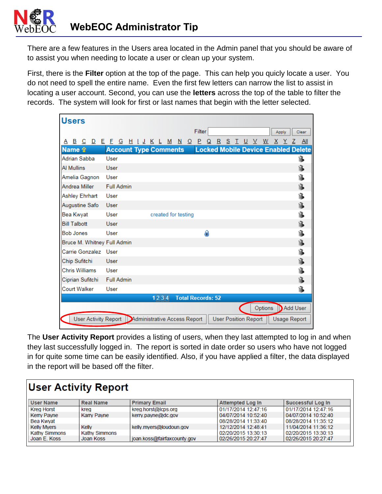There are a few features in the Users area located in the Admin panel that you should be aware of to assist you when needing to locate a user or clean up your system.

First, there is the **Filter** option at the top of the page. This can help you quicly locate a user. You do not need to spell the entire name. Even the first few letters can narrow the list to assist in locating a user account. Second, you can use the **letters** across the top of the table to filter the records. The system will look for first or last names that begin with the letter selected.

| <b>Users</b>                                        |                              |                          |                     |                          |     |    |       |                                            |         |       |                     |       |
|-----------------------------------------------------|------------------------------|--------------------------|---------------------|--------------------------|-----|----|-------|--------------------------------------------|---------|-------|---------------------|-------|
|                                                     |                              |                          |                     | Filter                   |     |    |       |                                            |         | Apply |                     | Clear |
| B C D E E<br>A                                      |                              | <u>G H I J K L M N O</u> |                     |                          | P Q | R. | S T U | <sup>V</sup>                               | - W     |       | <u>XYZ</u>          | - All |
| <b>Name 全</b>                                       | <b>Account Type Comments</b> |                          |                     |                          |     |    |       | <b>Locked Mobile Device Enabled Delete</b> |         |       |                     |       |
| Adrian Sabba                                        | User                         |                          |                     |                          |     |    |       |                                            |         |       |                     | îB.   |
| <b>Al Mullins</b>                                   | User                         |                          |                     |                          |     |    |       |                                            |         |       |                     | 扈     |
| Amelia Gagnon                                       | User                         |                          |                     |                          |     |    |       |                                            |         |       |                     | 扈     |
| Andrea Miller                                       | <b>Full Admin</b>            |                          |                     |                          |     |    |       |                                            |         |       |                     | 危     |
| <b>Ashley Ehrhart</b>                               | User                         |                          |                     |                          |     |    |       |                                            |         |       |                     | ĥ.    |
| Augustine Safo                                      | User                         |                          |                     |                          |     |    |       |                                            |         |       |                     | 扈     |
| Bea Kwyat                                           | User                         |                          | created for testing |                          |     |    |       |                                            |         |       |                     | ĥ.    |
| <b>Bill Talbott</b>                                 | User                         |                          |                     |                          |     |    |       |                                            |         |       |                     | 危     |
| <b>Bob Jones</b>                                    | User                         |                          |                     |                          | Q   |    |       |                                            |         |       |                     | î.    |
| Bruce M. Whitney Full Admin                         |                              |                          |                     |                          |     |    |       |                                            |         |       |                     | ĥ.    |
| Carrie Gonzalez                                     | User                         |                          |                     |                          |     |    |       |                                            |         |       |                     | ĥ.    |
| Chip Sufitchi                                       | <b>User</b>                  |                          |                     |                          |     |    |       |                                            |         |       |                     | 危     |
| Chris Williams                                      | User                         |                          |                     |                          |     |    |       |                                            |         |       |                     | ĥ     |
| Ciprian Sufitchi                                    | <b>Full Admin</b>            |                          |                     |                          |     |    |       |                                            |         |       |                     | 扈     |
| <b>Court Walker</b>                                 | User                         |                          |                     |                          |     |    |       |                                            |         |       |                     | ĥ.    |
|                                                     |                              |                          | 1234                | <b>Total Records: 52</b> |     |    |       |                                            |         |       |                     |       |
|                                                     |                              |                          |                     |                          |     |    |       |                                            | Options |       | Add User            |       |
| User Activity Report   Administrative Access Report |                              |                          |                     |                          |     |    |       | <b>User Position Report</b>                |         |       | <b>Usage Report</b> |       |

The **User Activity Report** provides a listing of users, when they last attempted to log in and when they last successfully logged in. The report is sorted in date order so users who have not logged in for quite some time can be easily identified. Also, if you have applied a filter, the data displayed in the report will be based off the filter.

| <b>User Activity Report</b> |                    |                             |                         |                     |  |  |  |  |  |
|-----------------------------|--------------------|-----------------------------|-------------------------|---------------------|--|--|--|--|--|
| <b>User Name</b>            | <b>Real Name</b>   | <b>Primary Email</b>        | <b>Attempted Log In</b> | Successful Log In   |  |  |  |  |  |
| <b>Kreg Horst</b>           | kreg               | kreg.horst@lcps.org         | 01/17/2014 12:47:16     | 01/17/2014 12:47:16 |  |  |  |  |  |
| Kerry Payne                 | <b>Karry Payne</b> | kerry.payne@dc.gov          | 04/07/2014 10:52:40     | 04/07/2014 10:52:40 |  |  |  |  |  |
| Bea Kwyat                   |                    |                             | 08/28/2014 11:33:40     | 08/28/2014 11:35:12 |  |  |  |  |  |
| <b>Kelly Myers</b>          | Kelly              | kelly.myers@loudoun.gov     | 12/12/2014 12:48:41     | 11/04/2014 11:36:12 |  |  |  |  |  |
| <b>Kathy Simmons</b>        | Kathy Simmons      |                             | 02/20/2015 13:30:13     | 02/20/2015 13:30:13 |  |  |  |  |  |
| Joan E. Koss                | Joan Koss          | joan.koss@fairfaxcounty.gov | 02/26/2015 20:27:47     | 02/26/2015 20:27:47 |  |  |  |  |  |